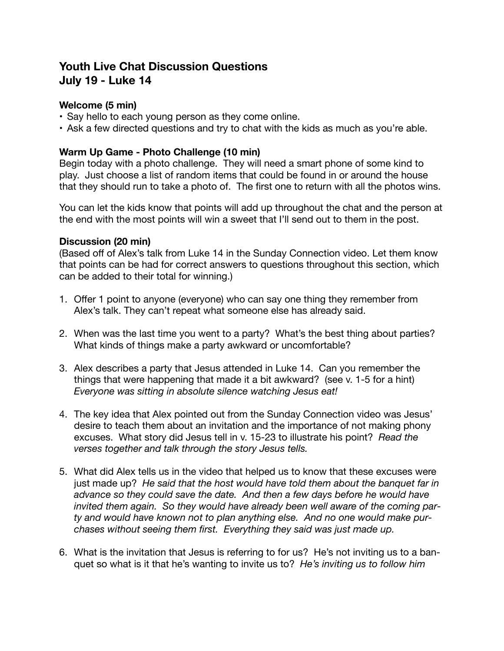# **Youth Live Chat Discussion Questions July 19 - Luke 14**

### **Welcome (5 min)**

- Say hello to each young person as they come online.
- Ask a few directed questions and try to chat with the kids as much as you're able.

#### **Warm Up Game - Photo Challenge (10 min)**

Begin today with a photo challenge. They will need a smart phone of some kind to play. Just choose a list of random items that could be found in or around the house that they should run to take a photo of. The first one to return with all the photos wins.

You can let the kids know that points will add up throughout the chat and the person at the end with the most points will win a sweet that I'll send out to them in the post.

#### **Discussion (20 min)**

(Based off of Alex's talk from Luke 14 in the Sunday Connection video. Let them know that points can be had for correct answers to questions throughout this section, which can be added to their total for winning.)

- 1. Offer 1 point to anyone (everyone) who can say one thing they remember from Alex's talk. They can't repeat what someone else has already said.
- 2. When was the last time you went to a party? What's the best thing about parties? What kinds of things make a party awkward or uncomfortable?
- 3. Alex describes a party that Jesus attended in Luke 14. Can you remember the things that were happening that made it a bit awkward? (see v. 1-5 for a hint) *Everyone was sitting in absolute silence watching Jesus eat!*
- 4. The key idea that Alex pointed out from the Sunday Connection video was Jesus' desire to teach them about an invitation and the importance of not making phony excuses. What story did Jesus tell in v. 15-23 to illustrate his point? *Read the verses together and talk through the story Jesus tells.*
- 5. What did Alex tells us in the video that helped us to know that these excuses were just made up? *He said that the host would have told them about the banquet far in*  advance so they could save the date. And then a few days before he would have *invited them again. So they would have already been well aware of the coming party and would have known not to plan anything else. And no one would make purchases without seeing them first. Everything they said was just made up.*
- 6. What is the invitation that Jesus is referring to for us? He's not inviting us to a banquet so what is it that he's wanting to invite us to? *He's inviting us to follow him*